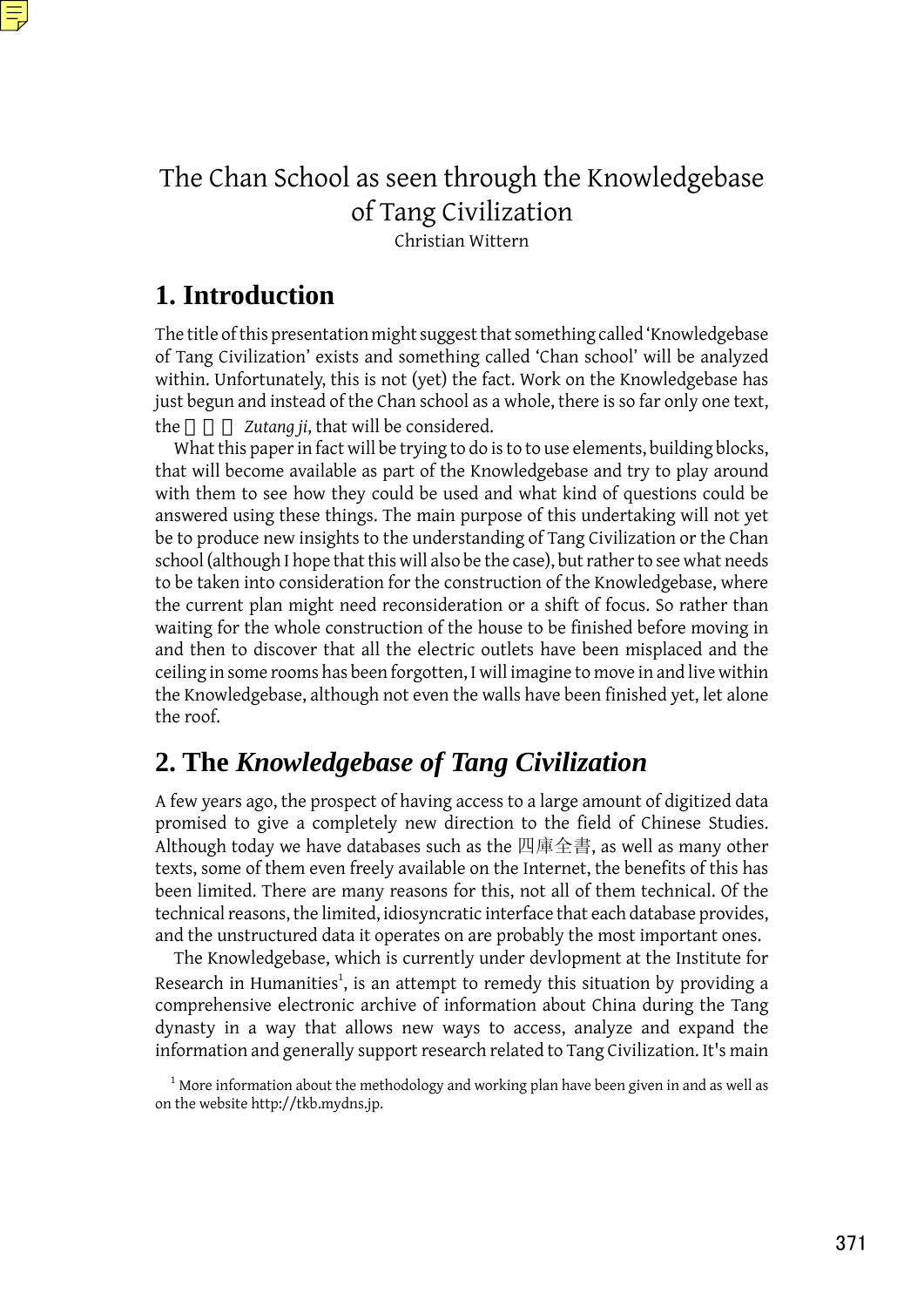

# The Chan School as seen through the Knowledgebase of Tang Civilization

Christian Wittern

# **1. Introduction**

The title of this presentation might suggest that something called 'Knowledgebase of Tang Civilization' exists and something called 'Chan school' will be analyzed within. Unfortunately, this is not (yet) the fact. Work on the Knowledgebase has just begun and instead of the Chan school as a whole, there is so far only one text, the *Zutang ji*, that will be considered.

What this paper in fact will be trying to do is to to use elements, building blocks, that will become available as part of the Knowledgebase and try to play around with them to see how they could be used and what kind of questions could be answered using these things. The main purpose of this undertaking will not yet be to produce new insights to the understanding of Tang Civilization or the Chan school (although I hope that this will also be the case), but rather to see what needs to be taken into consideration for the construction of the Knowledgebase, where the current plan might need reconsideration or a shift of focus. So rather than waiting for the whole construction of the house to be finished before moving in and then to discover that all the electric outlets have been misplaced and the ceiling in some rooms has been forgotten, I will imagine to move in and live within the Knowledgebase, although not even the walls have been finished yet, let alone the roof.

## **2. The** *Knowledgebase of Tang Civilization*

A few years ago, the prospect of having access to a large amount of digitized data promised to give a completely new direction to the field of Chinese Studies. Although today we have databases such as the 四庫全書, as well as many other texts, some of them even freely available on the Internet, the benefits of this has been limited. There are many reasons for this, not all of them technical. Of the technical reasons, the limited, idiosyncratic interface that each database provides, and the unstructured data it operates on are probably the most important ones.

The Knowledgebase, which is currently under devlopment at the Institute for Research in Humanities<sup>1</sup>, is an attempt to remedy this situation by providing a comprehensive electronic archive of information about China during the Tang dynasty in a way that allows new ways to access, analyze and expand the information and generally support research related to Tang Civilization. It's main

 $1$  More information about the methodology and working plan have been given in and as well as on the website http://tkb.mydns.jp.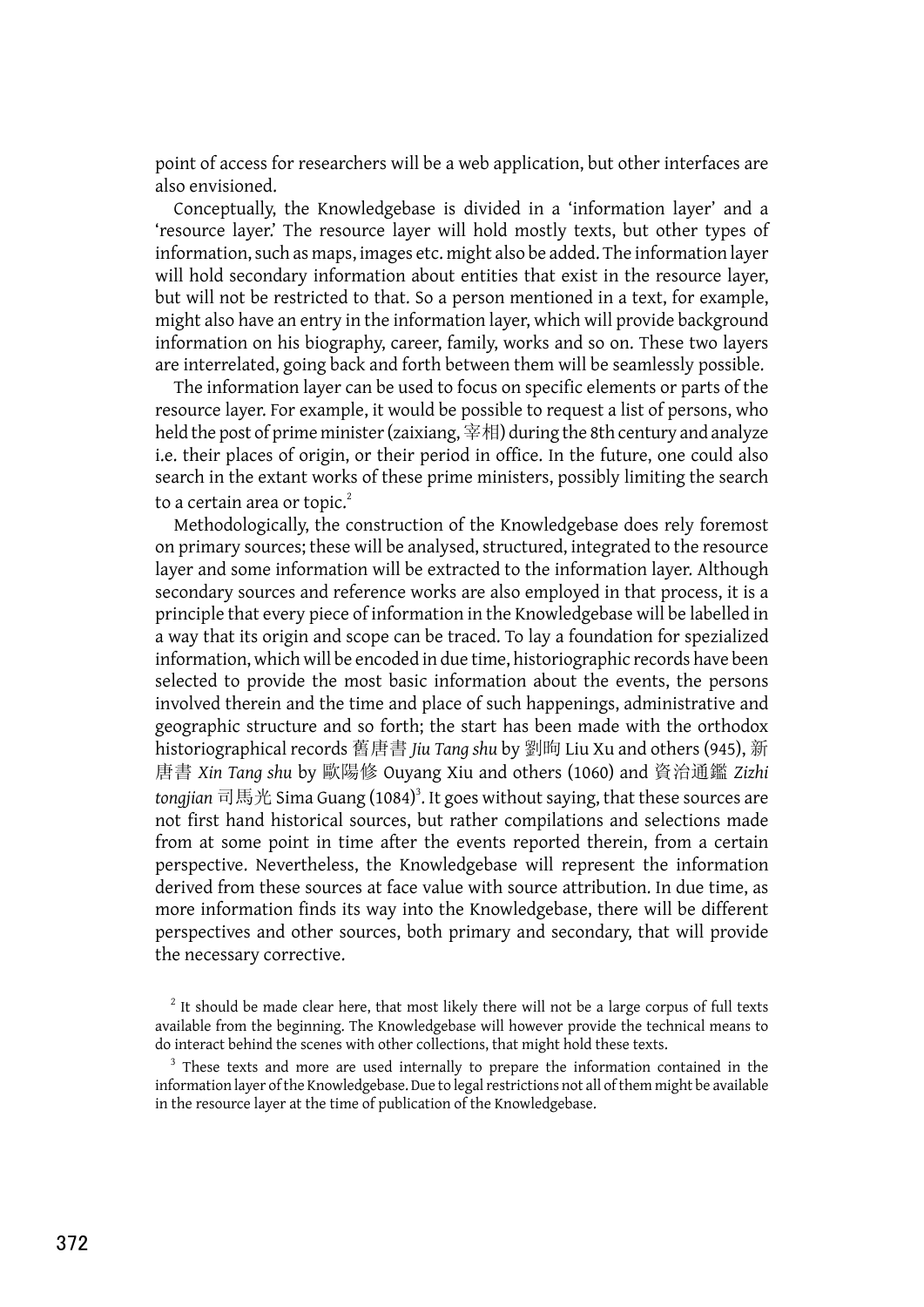point of access for researchers will be a web application, but other interfaces are also envisioned.

Conceptually, the Knowledgebase is divided in a 'information layer' and a 'resource layer.' The resource layer will hold mostly texts, but other types of information, such as maps, images etc. might also be added. The information layer will hold secondary information about entities that exist in the resource layer, but will not be restricted to that. So a person mentioned in a text, for example, might also have an entry in the information layer, which will provide background information on his biography, career, family, works and so on. These two layers are interrelated, going back and forth between them will be seamlessly possible.

The information layer can be used to focus on specific elements or parts of the resource layer. For example, it would be possible to request a list of persons, who held the post of prime minister (zaixiang,  $\cong$ 相) during the 8th century and analyze i.e. their places of origin, or their period in office. In the future, one could also search in the extant works of these prime ministers, possibly limiting the search to a certain area or topic.<sup>2</sup>

Methodologically, the construction of the Knowledgebase does rely foremost on primary sources; these will be analysed, structured, integrated to the resource layer and some information will be extracted to the information layer. Although secondary sources and reference works are also employed in that process, it is a principle that every piece of information in the Knowledgebase will be labelled in a way that its origin and scope can be traced. To lay a foundation for spezialized information, which will be encoded in due time, historiographic records have been selected to provide the most basic information about the events, the persons involved therein and the time and place of such happenings, administrative and geographic structure and so forth; the start has been made with the orthodox historiographical records 舊唐書 *Jiu Tang shu* by 劉昫 Liu Xu and others (945), 新 唐書 *Xin Tang shu* by 歐陽修 Ouyang Xiu and others (1060) and 資治通鑑 *Zizhi* tongjian 司馬光 Sima Guang (1084)<sup>3</sup>. It goes without saying, that these sources are not first hand historical sources, but rather compilations and selections made from at some point in time after the events reported therein, from a certain perspective. Nevertheless, the Knowledgebase will represent the information derived from these sources at face value with source attribution. In due time, as more information finds its way into the Knowledgebase, there will be different perspectives and other sources, both primary and secondary, that will provide the necessary corrective.

 $2$  It should be made clear here, that most likely there will not be a large corpus of full texts available from the beginning. The Knowledgebase will however provide the technical means to do interact behind the scenes with other collections, that might hold these texts.

<sup>&</sup>lt;sup>3</sup> These texts and more are used internally to prepare the information contained in the information layer of the Knowledgebase. Due to legal restrictions not all of them might be available in the resource layer at the time of publication of the Knowledgebase.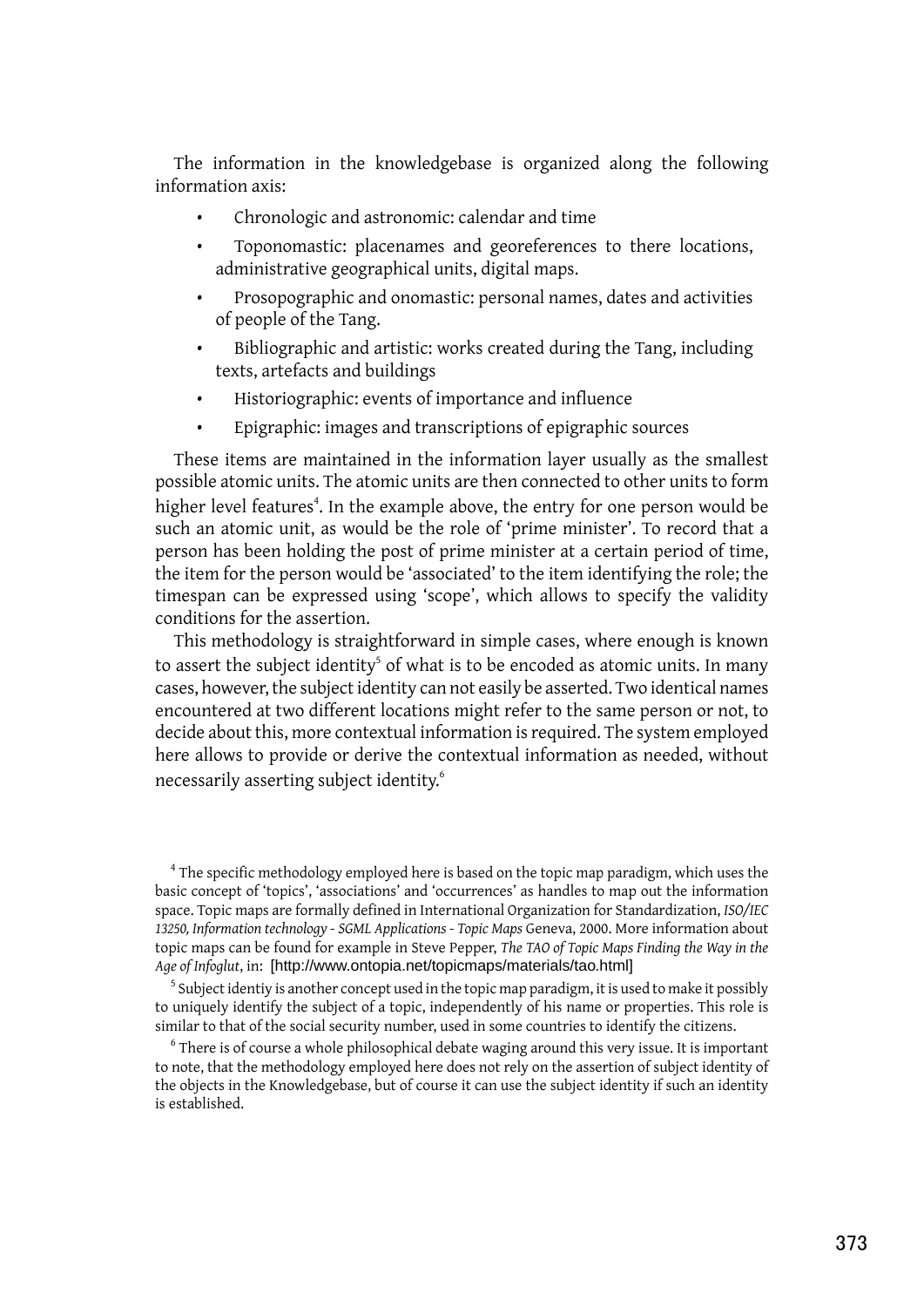The information in the knowledgebase is organized along the following information axis:

- Chronologic and astronomic: calendar and time
- Toponomastic: placenames and georeferences to there locations, administrative geographical units, digital maps.
- Prosopographic and onomastic: personal names, dates and activities of people of the Tang.
- Bibliographic and artistic: works created during the Tang, including texts, artefacts and buildings
- Historiographic: events of importance and influence
- Epigraphic: images and transcriptions of epigraphic sources

These items are maintained in the information layer usually as the smallest possible atomic units. The atomic units are then connected to other units to form higher level features<sup>4</sup>. In the example above, the entry for one person would be such an atomic unit, as would be the role of 'prime minister'. To record that a person has been holding the post of prime minister at a certain period of time, the item for the person would be 'associated' to the item identifying the role; the timespan can be expressed using 'scope', which allows to specify the validity conditions for the assertion.

This methodology is straightforward in simple cases, where enough is known to assert the subject identity<sup>5</sup> of what is to be encoded as atomic units. In many cases, however, the subject identity can not easily be asserted. Two identical names encountered at two different locations might refer to the same person or not, to decide about this, more contextual information is required. The system employed here allows to provide or derive the contextual information as needed, without necessarily asserting subject identity. 6

 $^4$  The specific methodology employed here is based on the topic map paradigm, which uses the basic concept of 'topics', 'associations' and 'occurrences' as handles to map out the information space. Topic maps are formally defined in International Organization for Standardization, *ISO/IEC 13250, Information technology - SGML Applications - Topic Maps* Geneva, 2000. More information about topic maps can be found for example in Steve Pepper, *The TAO of Topic Maps Finding the Way in the Age of Infoglut*, in: [http://www.ontopia.net/topicmaps/materials/tao.html]

 $^5$  Subject identiy is another concept used in the topic map paradigm, it is used to make it possibly to uniquely identify the subject of a topic, independently of his name or properties. This role is similar to that of the social security number, used in some countries to identify the citizens.

 $^6$  There is of course a whole philosophical debate waging around this very issue. It is important to note, that the methodology employed here does not rely on the assertion of subject identity of the objects in the Knowledgebase, but of course it can use the subject identity if such an identity is established.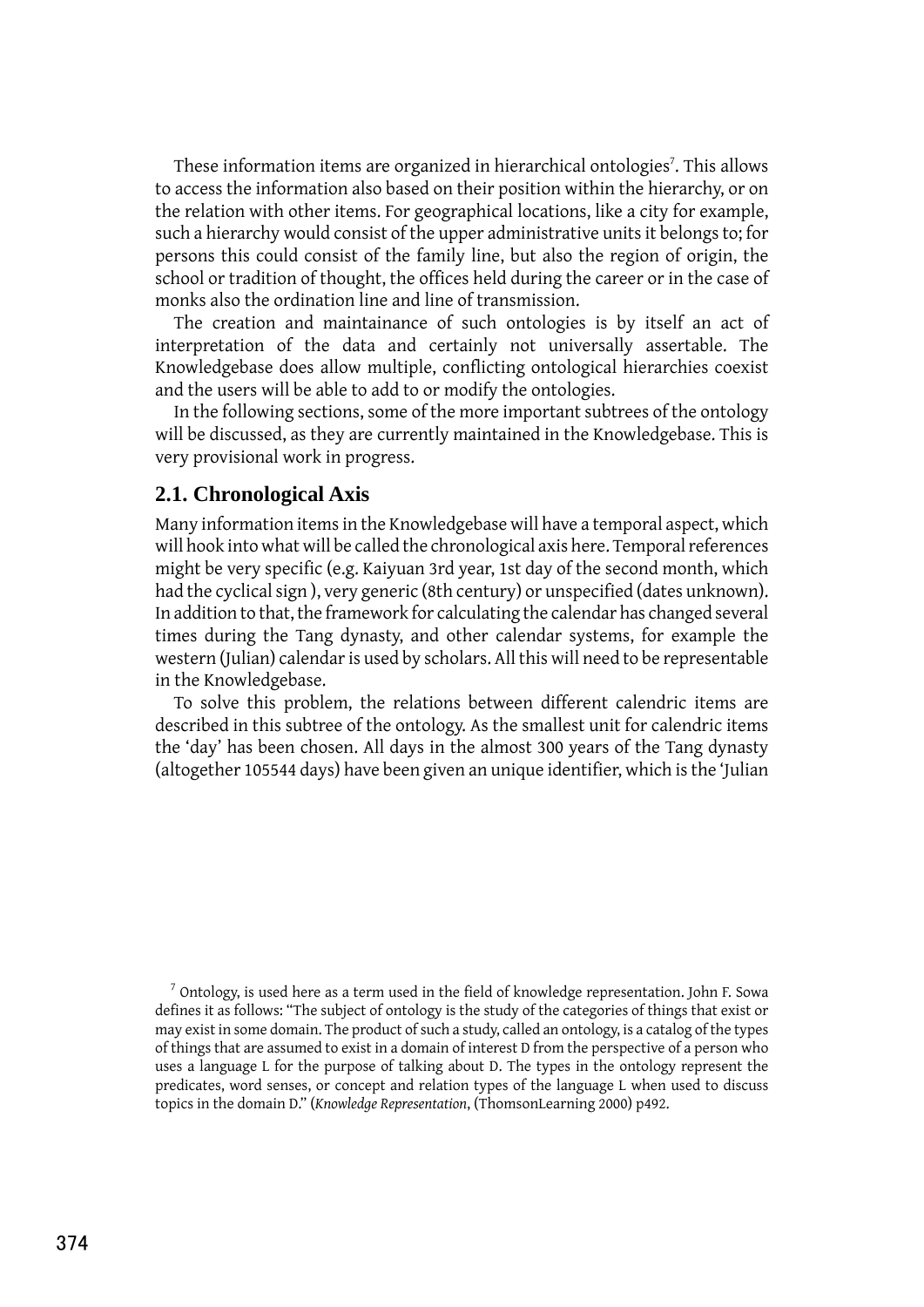These information items are organized in hierarchical ontologies<sup>7</sup>. This allows to access the information also based on their position within the hierarchy, or on the relation with other items. For geographical locations, like a city for example, such a hierarchy would consist of the upper administrative units it belongs to; for persons this could consist of the family line, but also the region of origin, the school or tradition of thought, the offices held during the career or in the case of monks also the ordination line and line of transmission.

The creation and maintainance of such ontologies is by itself an act of interpretation of the data and certainly not universally assertable. The Knowledgebase does allow multiple, conflicting ontological hierarchies coexist and the users will be able to add to or modify the ontologies.

In the following sections, some of the more important subtrees of the ontology will be discussed, as they are currently maintained in the Knowledgebase. This is very provisional work in progress.

#### **2.1. Chronological Axis**

Many information items in the Knowledgebase will have a temporal aspect, which will hook into what will be called the chronological axis here. Temporal references might be very specific (e.g. Kaiyuan 3rd year, 1st day of the second month, which had the cyclical sign ), very generic (8th century) or unspecified (dates unknown). In addition to that, the framework for calculating the calendar has changed several times during the Tang dynasty, and other calendar systems, for example the western (Julian) calendar is used by scholars. All this will need to be representable in the Knowledgebase.

To solve this problem, the relations between different calendric items are described in this subtree of the ontology. As the smallest unit for calendric items the 'day' has been chosen. All days in the almost 300 years of the Tang dynasty (altogether 105544 days) have been given an unique identifier, which is the 'Julian

 $^7$  Ontology, is used here as a term used in the field of knowledge representation. John F. Sowa defines it as follows: "The subject of ontology is the study of the categories of things that exist or may exist in some domain. The product of such a study, called an ontology, is a catalog of the types of things that are assumed to exist in a domain of interest D from the perspective of a person who uses a language L for the purpose of talking about D. The types in the ontology represent the predicates, word senses, or concept and relation types of the language L when used to discuss topics in the domain D." (*Knowledge Representation*, (ThomsonLearning 2000) p492.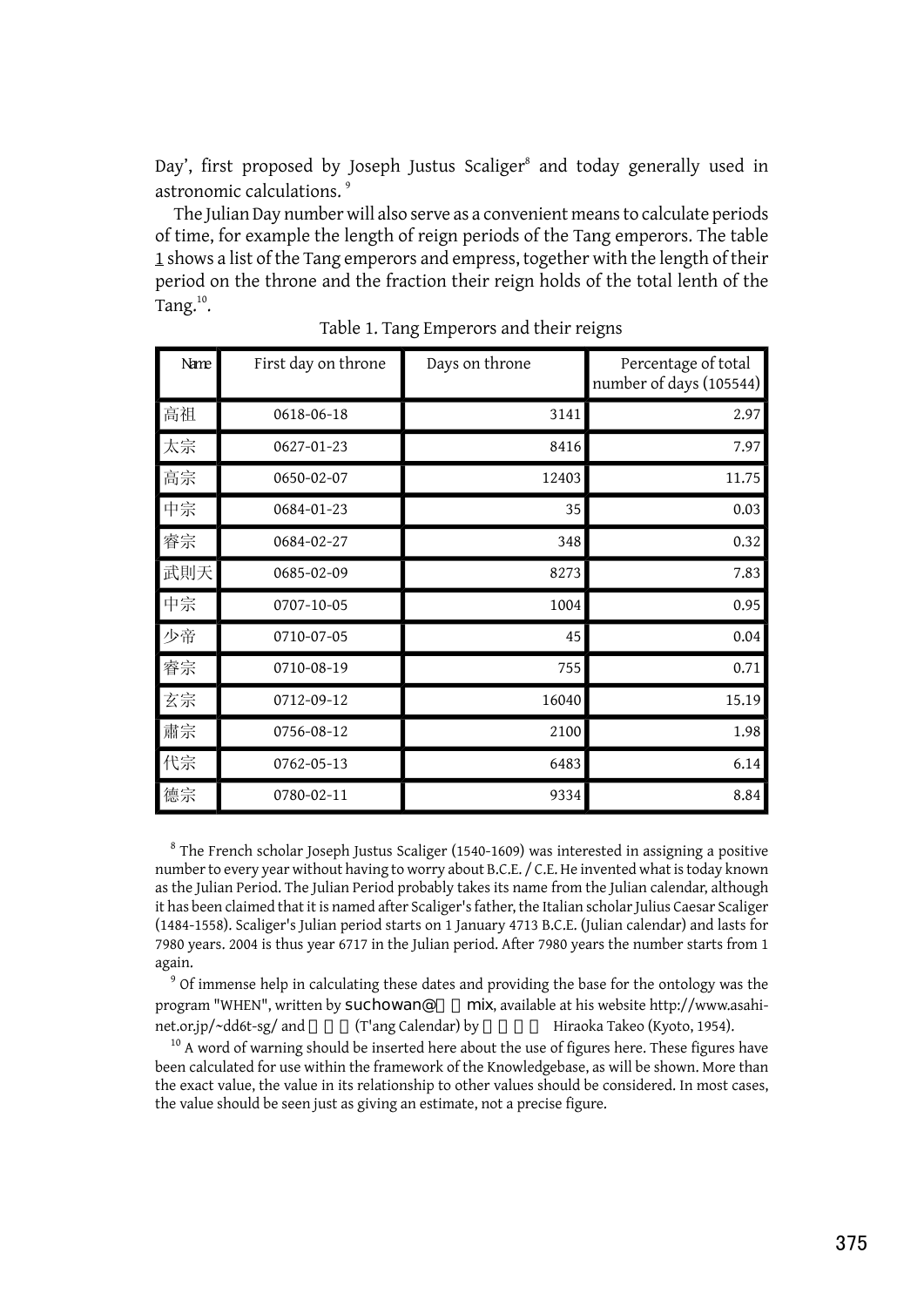Day', first proposed by Joseph Justus Scaliger<sup>8</sup> and today generally used in astronomic calculations. <sup>9</sup>

The Julian Day number will also serve as a convenient means to calculate periods of time, for example the length of reign periods of the Tang emperors. The table [1](#page-4-0) shows a list of the Tang emperors and empress, together with the length of their period on the throne and the fraction their reign holds of the total lenth of the Tang. $^{10}$ .

<span id="page-4-0"></span>

| Name | First day on throne | Days on throne | Percentage of total<br>number of days (105544) |
|------|---------------------|----------------|------------------------------------------------|
| 高祖   | 0618-06-18          | 3141           | 2.97                                           |
| 太宗   | 0627-01-23          | 8416           | 7.97                                           |
| 高宗   | 0650-02-07          | 12403          | 11.75                                          |
| 中宗   | $0684 - 01 - 23$    | 35             | 0.03                                           |
| 睿宗   | 0684-02-27          | 348            | 0.32                                           |
| 武則天  | 0685-02-09          | 8273           | 7.83                                           |
| 中宗   | 0707-10-05          | 1004           | 0.95                                           |
| 少帝   | 0710-07-05          | 45             | 0.04                                           |
| 睿宗   | 0710-08-19          | 755            | 0.71                                           |
| 玄宗   | 0712-09-12          | 16040          | 15.19                                          |
| 肅宗   | 0756-08-12          | 2100           | 1.98                                           |
| 代宗   | 0762-05-13          | 6483           | 6.14                                           |
| 德宗   | 0780-02-11          | 9334           | 8.84                                           |

Table 1. Tang Emperors and their reigns

 $^8$  The French scholar Joseph Justus Scaliger (1540-1609) was interested in assigning a positive number to every year without having to worry about B.C.E. / C.E. He invented what is today known as the Julian Period. The Julian Period probably takes its name from the Julian calendar, although it has been claimed that it is named after Scaliger's father, the Italian scholar Julius Caesar Scaliger (1484-1558). Scaliger's Julian period starts on 1 January 4713 B.C.E. (Julian calendar) and lasts for 7980 years. 2004 is thus year 6717 in the Julian period. After 7980 years the number starts from 1 again.

<sup>9</sup> Of immense help in calculating these dates and providing the base for the ontology was the program "WHEN", written by suchowan@ mix, available at his website http://www.asahinet.or.jp/~dd6t-sg/ and (T'ang Calendar) by Hiraoka Takeo (Kyoto, 1954).

 $10$  A word of warning should be inserted here about the use of figures here. These figures have been calculated for use within the framework of the Knowledgebase, as will be shown. More than the exact value, the value in its relationship to other values should be considered. In most cases, the value should be seen just as giving an estimate, not a precise figure.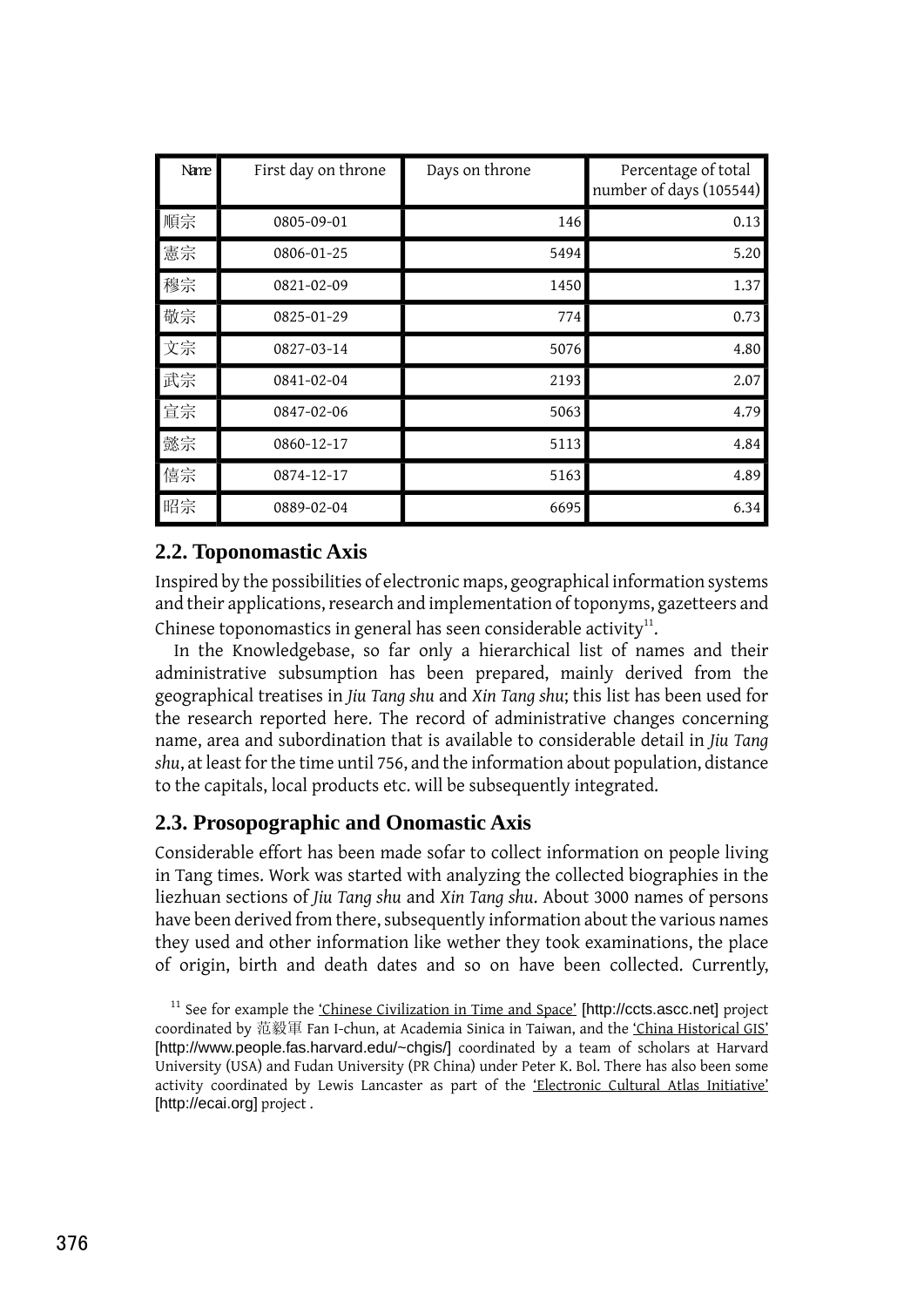| Name | First day on throne | Days on throne | Percentage of total<br>number of days (105544) |
|------|---------------------|----------------|------------------------------------------------|
| 順宗   | 0805-09-01          | 146            | 0.13                                           |
| 憲宗   | 0806-01-25          | 5494           | 5.20                                           |
| 穆宗   | 0821-02-09          | 1450           | 1.37                                           |
| 敬宗   | 0825-01-29          | 774            | 0.73                                           |
| 文宗   | 0827-03-14          | 5076           | 4.80                                           |
| 武宗   | 0841-02-04          | 2193           | 2.07                                           |
| 宣宗   | 0847-02-06          | 5063           | 4.79                                           |
| 懿宗   | 0860-12-17          | 5113           | 4.84                                           |
| 僖宗   | 0874-12-17          | 5163           | 4.89                                           |
| 昭宗   | 0889-02-04          | 6695           | 6.34                                           |

#### **2.2. Toponomastic Axis**

Inspired by the possibilities of electronic maps, geographical information systems and their applications, research and implementation of toponyms, gazetteers and Chinese toponomastics in general has seen considerable activity $^{\rm 11}$ .

In the Knowledgebase, so far only a hierarchical list of names and their administrative subsumption has been prepared, mainly derived from the geographical treatises in *Jiu Tang shu* and *Xin Tang shu*; this list has been used for the research reported here. The record of administrative changes concerning name, area and subordination that is available to considerable detail in *Jiu Tang shu*, at least for the time until 756, and the information about population, distance to the capitals, local products etc. will be subsequently integrated.

### **2.3. Prosopographic and Onomastic Axis**

Considerable effort has been made sofar to collect information on people living in Tang times. Work was started with analyzing the collected biographies in the liezhuan sections of *Jiu Tang shu* and *Xin Tang shu*. About 3000 names of persons have been derived from there, subsequently information about the various names they used and other information like wether they took examinations, the place of origin, birth and death dates and so on have been collected. Currently,

 $11$  See for example the ['Chinese Civilization in Time and Space'](http://ccts.ascc.net) [http://ccts.ascc.net] project coordinated by 范毅軍 Fan I-chun, at Academia Sinica in Taiwan, and the ['China Historical GIS'](http://www.people.fas.harvard.edu/~chgis/) [http://www.people.fas.harvard.edu/~chgis/] coordinated by a team of scholars at Harvard University (USA) and Fudan University (PR China) under Peter K. Bol. There has also been some activity coordinated by Lewis Lancaster as part of the ['Electronic Cultural Atlas Initiative'](http://ecai.org) [http://ecai.org] project.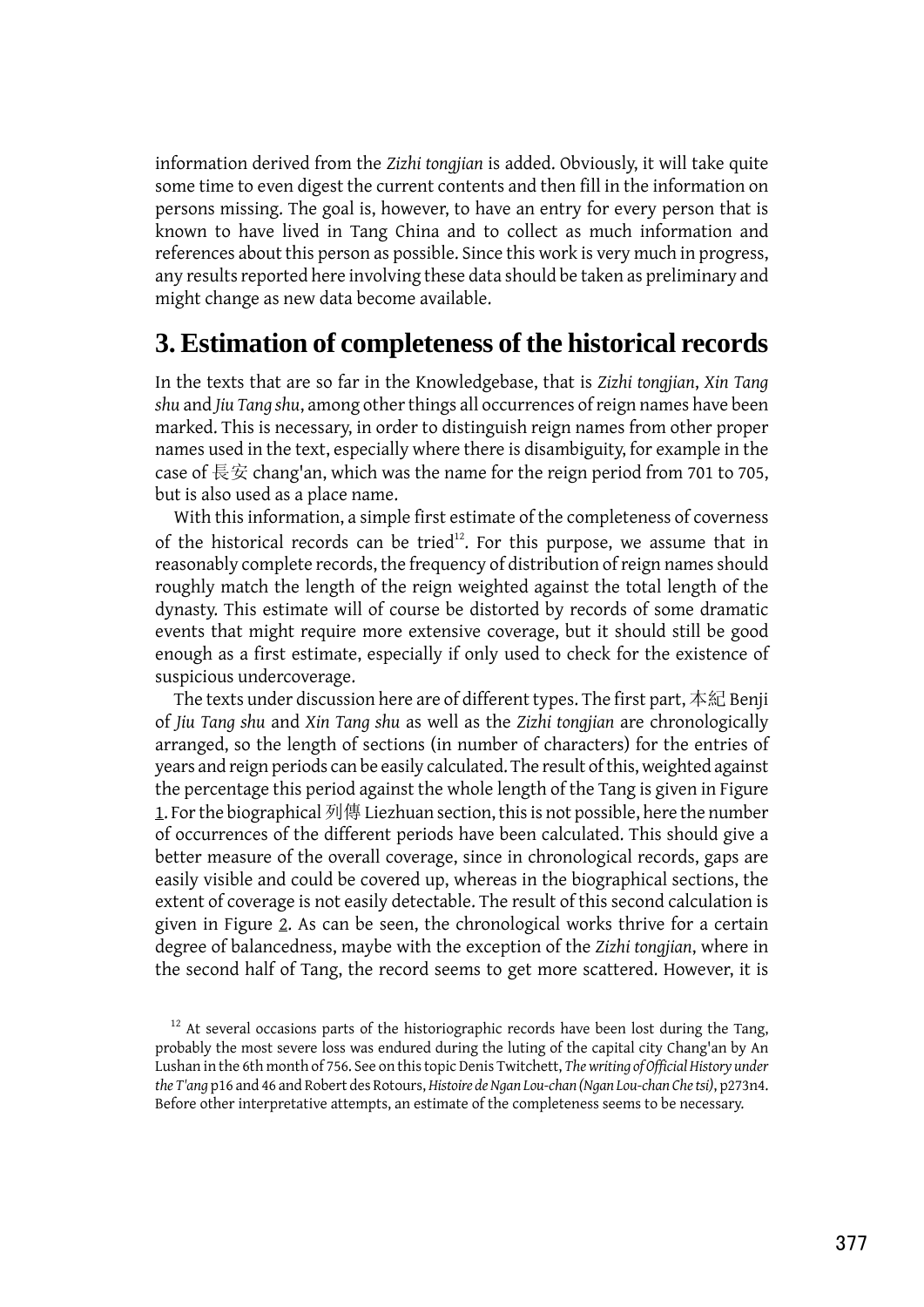information derived from the *Zizhi tongjian* is added. Obviously, it will take quite some time to even digest the current contents and then fill in the information on persons missing. The goal is, however, to have an entry for every person that is known to have lived in Tang China and to collect as much information and references about this person as possible. Since this work is very much in progress, any results reported here involving these data should be taken as preliminary and might change as new data become available.

### **3. Estimation of completeness of the historical records**

In the texts that are so far in the Knowledgebase, that is *Zizhi tongjian*, *Xin Tang shu* and *Jiu Tang shu*, among other things all occurrences of reign names have been marked. This is necessary, in order to distinguish reign names from other proper names used in the text, especially where there is disambiguity, for example in the case of 長安 chang'an, which was the name for the reign period from 701 to 705, but is also used as a place name.

With this information, a simple first estimate of the completeness of coverness of the historical records can be tried $12$ . For this purpose, we assume that in reasonably complete records, the frequency of distribution of reign names should roughly match the length of the reign weighted against the total length of the dynasty. This estimate will of course be distorted by records of some dramatic events that might require more extensive coverage, but it should still be good enough as a first estimate, especially if only used to check for the existence of suspicious undercoverage.

The texts under discussion here are of different types. The first part, 本紀 Benji of *Jiu Tang shu* and *Xin Tang shu* as well as the *Zizhi tongjian* are chronologically arranged, so the length of sections (in number of characters) for the entries of years and reign periods can be easily calculated. The result of this, weighted against the percentage this period against the whole length of the Tang is given in Figure 1. For the biographical 列傳 Liezhuan section, this is not possible, here the number of occurrences of the different periods have been calculated. This should give a better measure of the overall coverage, since in chronological records, gaps are easily visible and could be covered up, whereas in the biographical sections, the extent of coverage is not easily detectable. The result of this second calculation is given in Figure 2. As can be seen, the chronological works thrive for a certain degree of balancedness, maybe with the exception of the *Zizhi tongjian*, where in the second half of Tang, the record seems to get more scattered. However, it is

 $12$  At several occasions parts of the historiographic records have been lost during the Tang, probably the most severe loss was endured during the luting of the capital city Chang'an by An Lushan in the 6th month of 756. See on this topic Denis Twitchett, *The writing of Official History under the T'ang* p16 and 46 and Robert des Rotours, *Histoire de Ngan Lou-chan (Ngan Lou-chan Che tsi)*, p273n4. Before other interpretative attempts, an estimate of the completeness seems to be necessary.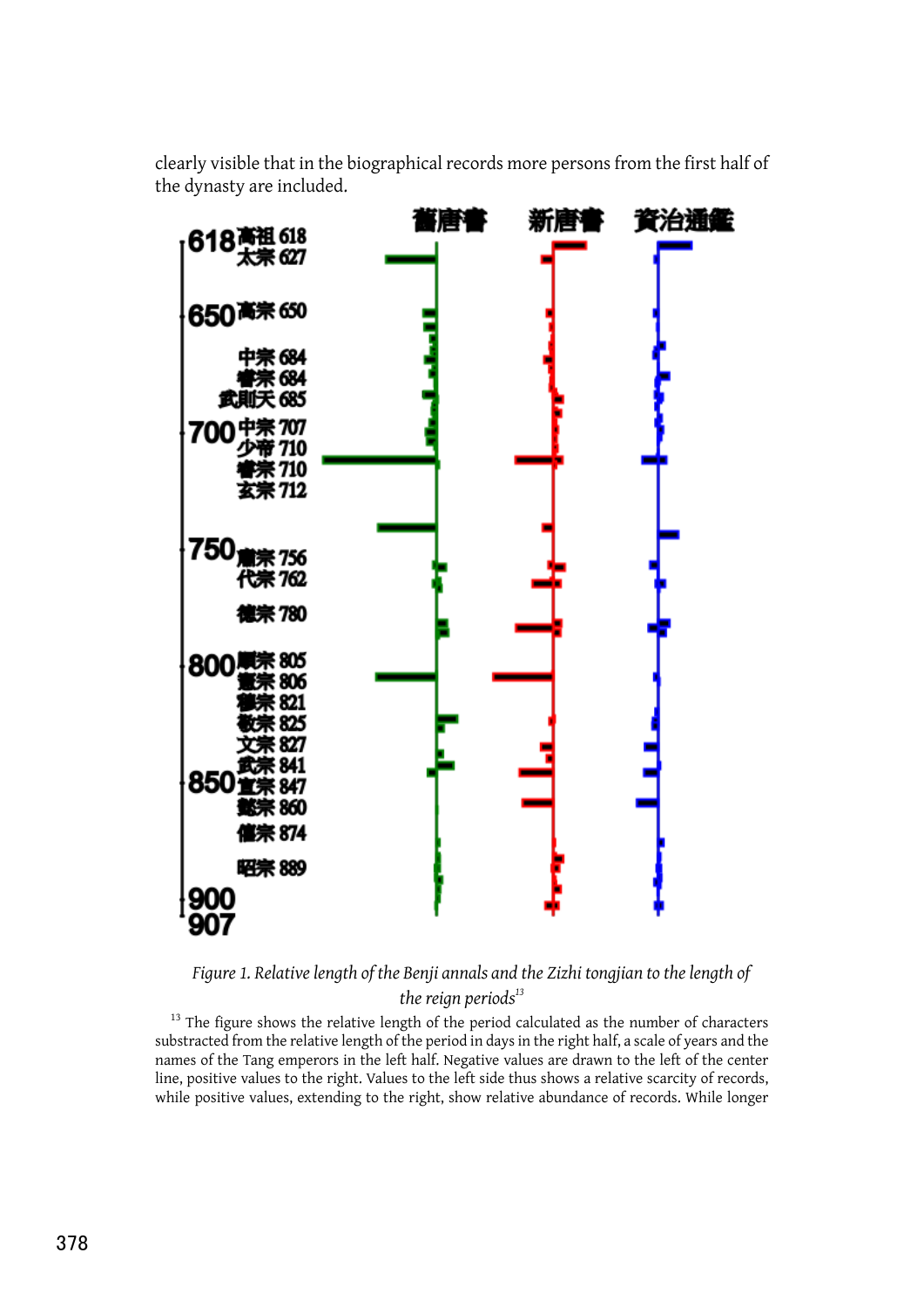clearly visible that in the biographical records more persons from the first half of the dynasty are included.



*Figure 1. Relative length of the Benji annals and the Zizhi tongjian to the length of the reign periods<sup>13</sup>*

 $13$  The figure shows the relative length of the period calculated as the number of characters substracted from the relative length of the period in days in the right half, a scale of years and the names of the Tang emperors in the left half. Negative values are drawn to the left of the center line, positive values to the right. Values to the left side thus shows a relative scarcity of records, while positive values, extending to the right, show relative abundance of records. While longer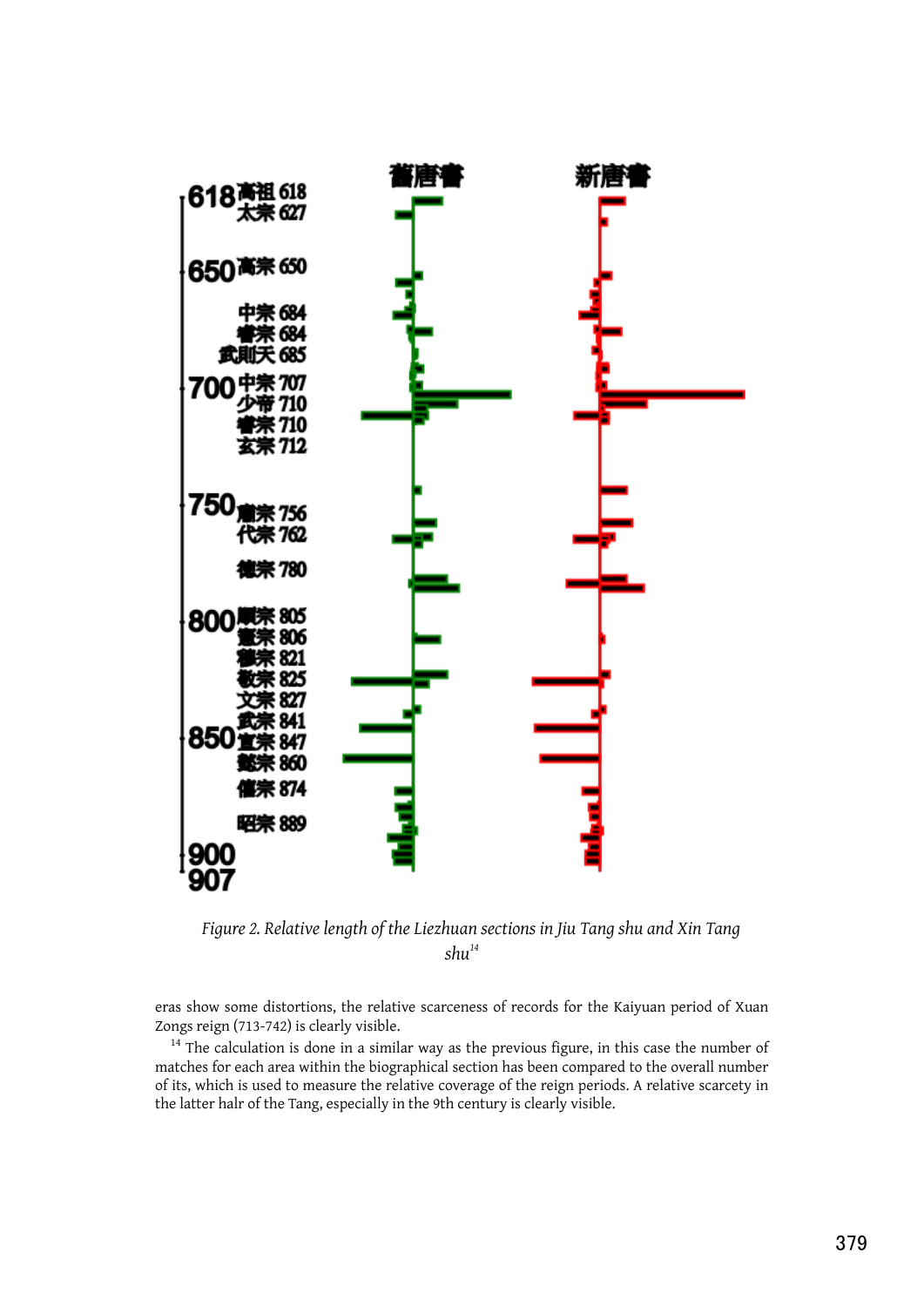

*Figure 2. Relative length of the Liezhuan sections in Jiu Tang shu and Xin Tang shu<sup>14</sup>*

eras show some distortions, the relative scarceness of records for the Kaiyuan period of Xuan Zongs reign (713-742) is clearly visible.

<sup>14</sup> The calculation is done in a similar way as the previous figure, in this case the number of matches for each area within the biographical section has been compared to the overall number of its, which is used to measure the relative coverage of the reign periods. A relative scarcety in the latter halr of the Tang, especially in the 9th century is clearly visible.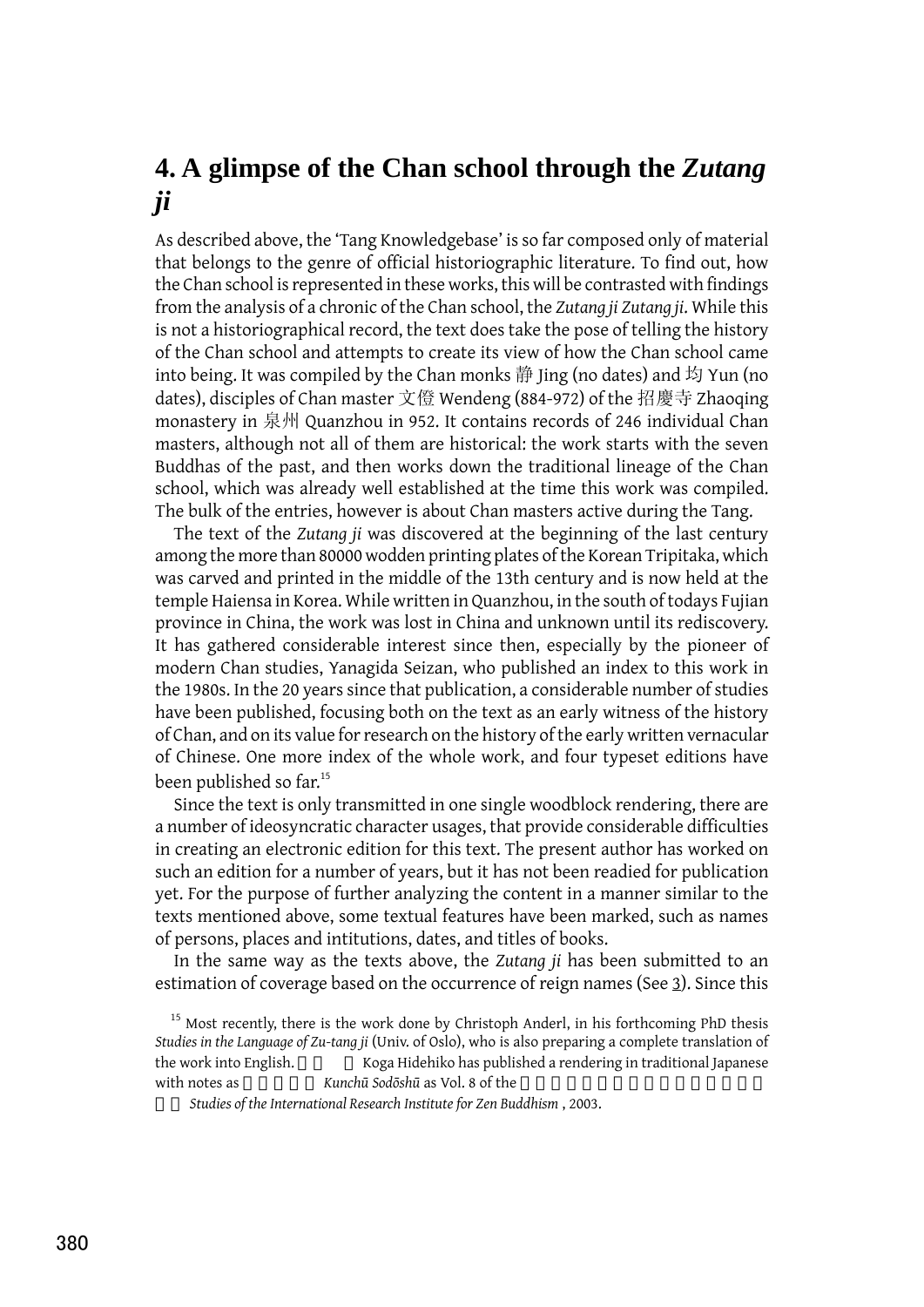### **4. A glimpse of the Chan school through the** *Zutang ji*

As described above, the 'Tang Knowledgebase' is so far composed only of material that belongs to the genre of official historiographic literature. To find out, how the Chan school is represented in these works, this will be contrasted with findings from the analysis of a chronic of the Chan school, the *Zutang ji Zutang ji*. While this is not a historiographical record, the text does take the pose of telling the history of the Chan school and attempts to create its view of how the Chan school came into being. It was compiled by the Chan monks 静 Jing (no dates) and 均 Yun (no dates), disciples of Chan master 文僜 Wendeng (884-972) of the 招慶寺 Zhaoqing monastery in 泉州 Quanzhou in 952. It contains records of 246 individual Chan masters, although not all of them are historical: the work starts with the seven Buddhas of the past, and then works down the traditional lineage of the Chan school, which was already well established at the time this work was compiled. The bulk of the entries, however is about Chan masters active during the Tang.

The text of the *Zutang ji* was discovered at the beginning of the last century among the more than 80000 wodden printing plates of the Korean Tripitaka, which was carved and printed in the middle of the 13th century and is now held at the temple Haiensa in Korea. While written in Quanzhou, in the south of todays Fujian province in China, the work was lost in China and unknown until its rediscovery. It has gathered considerable interest since then, especially by the pioneer of modern Chan studies, Yanagida Seizan, who published an index to this work in the 1980s. In the 20 years since that publication, a considerable number of studies have been published, focusing both on the text as an early witness of the history of Chan, and on its value for research on the history of the early written vernacular of Chinese. One more index of the whole work, and four typeset editions have been published so far.<sup>15</sup>

Since the text is only transmitted in one single woodblock rendering, there are a number of ideosyncratic character usages, that provide considerable difficulties in creating an electronic edition for this text. The present author has worked on such an edition for a number of years, but it has not been readied for publication yet. For the purpose of further analyzing the content in a manner similar to the texts mentioned above, some textual features have been marked, such as names of persons, places and intitutions, dates, and titles of books.

In the same way as the texts above, the *Zutang ji* has been submitted to an estimation of coverage based on the occurrence of reign names (See 3). Since this

八册 *Studies of the International Research Institute for Zen Buddhism* , 2003.

<sup>&</sup>lt;sup>15</sup> Most recently, there is the work done by Christoph Anderl, in his forthcoming PhD thesis *Studies in the Language of Zu-tang ji* (Univ. of Oslo), who is also preparing a complete translation of the work into English.  $\frac{1}{2}$  Koga Hidehiko has published a rendering in traditional Japanese with notes as  $Kunch\bar{u}$  *Sodōshū* as Vol. 8 of the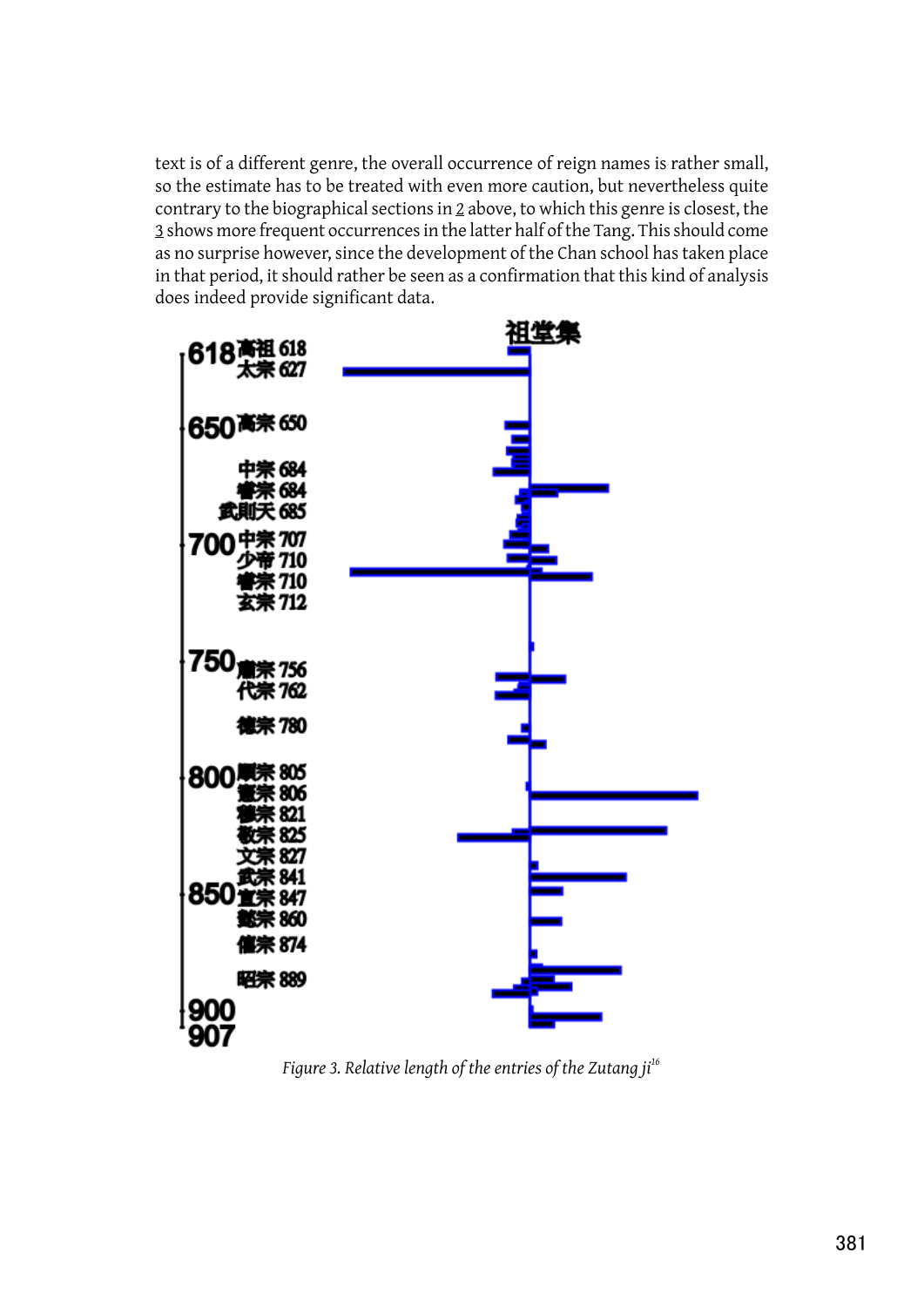text is of a different genre, the overall occurrence of reign names is rather small, so the estimate has to be treated with even more caution, but nevertheless quite contrary to the biographical sections in 2 above, to which this genre is closest, the 3 shows more frequent occurrences in the latter half of the Tang. This should come as no surprise however, since the development of the Chan school has taken place in that period, it should rather be seen as a confirmation that this kind of analysis does indeed provide significant data.



*Figure 3. Relative length of the entries of the Zutang ji<sup>16</sup>*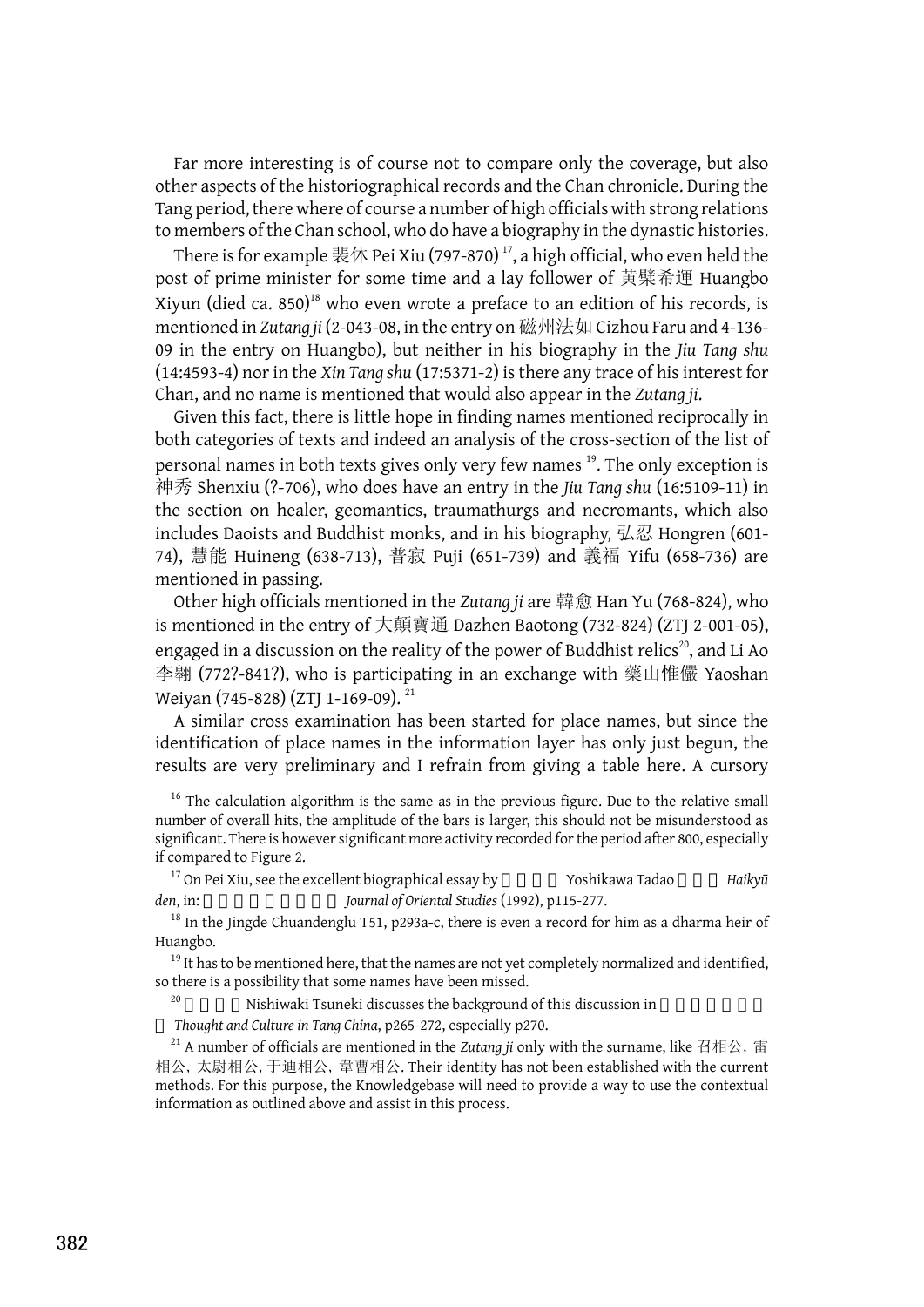Far more interesting is of course not to compare only the coverage, but also other aspects of the historiographical records and the Chan chronicle. During the Tang period, there where of course a number of high officials with strong relations to members of the Chan school, who do have a biography in the dynastic histories.

There is for example 裴休 Pei Xiu (797-870)  $^{\rm 17}$ , a high official, who even held the post of prime minister for some time and a lay follower of 黄檗希運 Huangbo Xiyun (died ca.  $850$ <sup>18</sup> who even wrote a preface to an edition of his records, is mentioned in *Zutang ji* (2-043-08, in the entry on 磁州法如 Cizhou Faru and 4-136- 09 in the entry on Huangbo), but neither in his biography in the *Jiu Tang shu* (14:4593-4) nor in the *Xin Tang shu* (17:5371-2) is there any trace of his interest for Chan, and no name is mentioned that would also appear in the *Zutang ji*.

Given this fact, there is little hope in finding names mentioned reciprocally in both categories of texts and indeed an analysis of the cross-section of the list of personal names in both texts gives only very few names <sup>19</sup>. The only exception is 神秀 Shenxiu (?-706), who does have an entry in the *Jiu Tang shu* (16:5109-11) in the section on healer, geomantics, traumathurgs and necromants, which also includes Daoists and Buddhist monks, and in his biography, 弘忍 Hongren (601- 74), 慧能 Huineng (638-713), 普寂 Puji (651-739) and 義福 Yifu (658-736) are mentioned in passing.

Other high officials mentioned in the *Zutang ji* are 韓愈 Han Yu (768-824), who is mentioned in the entry of 大顛寶通 Dazhen Baotong (732-824) (ZTJ 2-001-05), engaged in a discussion on the reality of the power of Buddhist relics<sup>20</sup>, and Li Ao 李翱 (772?-841?), who is participating in an exchange with 藥山惟儼 Yaoshan Weiyan (745-828) (ZTI 1-169-09).<sup>21</sup>

A similar cross examination has been started for place names, but since the identification of place names in the information layer has only just begun, the results are very preliminary and I refrain from giving a table here. A cursory

 $16$  The calculation algorithm is the same as in the previous figure. Due to the relative small number of overall hits, the amplitude of the bars is larger, this should not be misunderstood as significant. There is however significant more activity recorded for the period after 800, especially if compared to Figure 2.

<sup>17</sup> On Pei Xiu, see the excellent biographical essay by **The Studies Yoshikawa Tadao** *Haikyū* den, in: *Journal of Oriental Studies* (1992), p115-277.

 $18$  In the Jingde Chuandenglu T51, p293a-c, there is even a record for him as a dharma heir of Huangbo.

 $19$  It has to be mentioned here, that the names are not yet completely normalized and identified, so there is a possibility that some names have been missed.

Nishiwaki Tsuneki discusses the background of this discussion in

*Thought and Culture in Tang China*, p265-272, especially p270.

<sup>21</sup> A number of officials are mentioned in the *Zutang ji* only with the surname, like 召相公, 雷 相公, 太尉相公,于迪相公, 韋曹相公. Their identity has not been established with the current methods. For this purpose, the Knowledgebase will need to provide a way to use the contextual information as outlined above and assist in this process.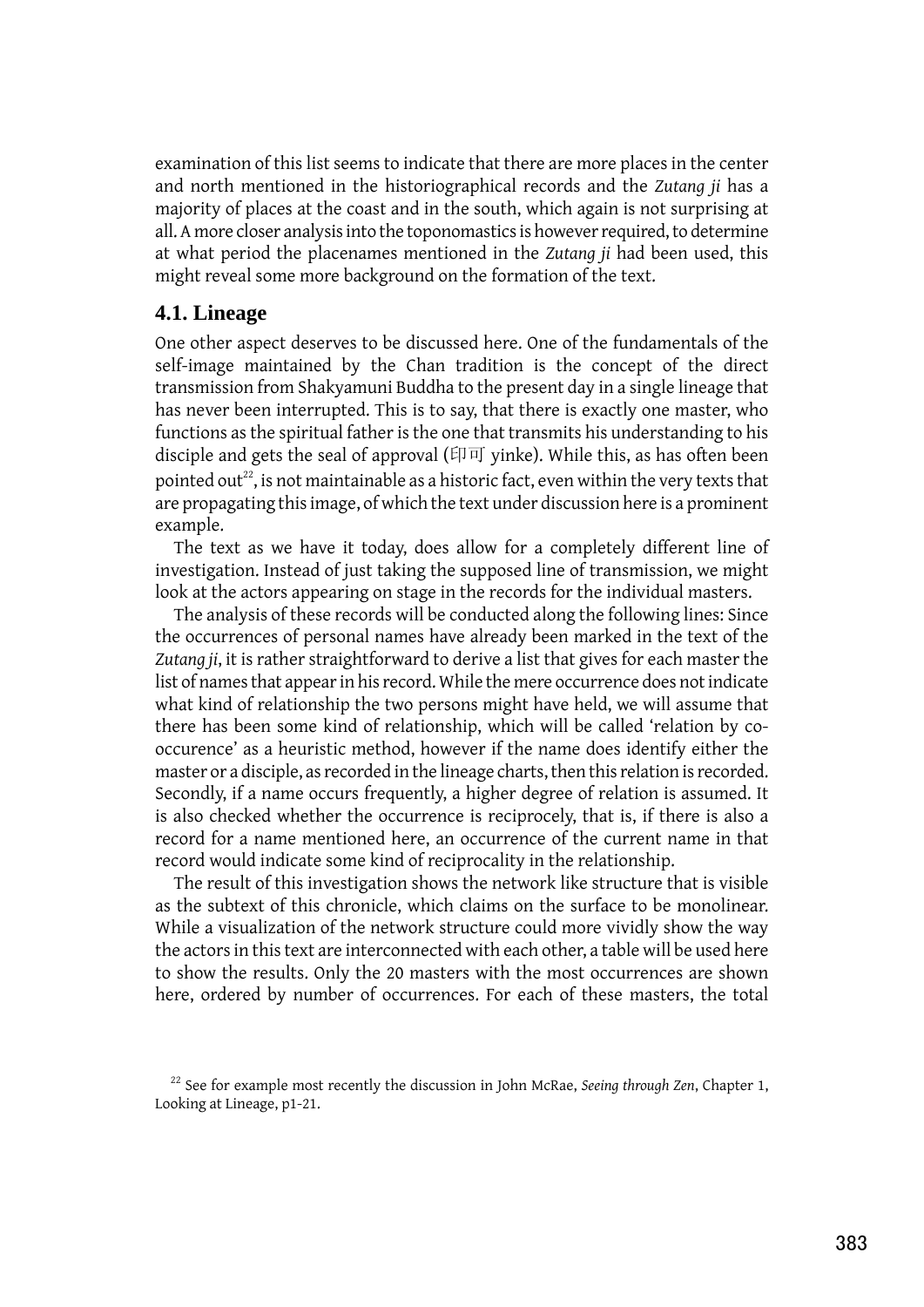examination of this list seems to indicate that there are more places in the center and north mentioned in the historiographical records and the *Zutang ji* has a majority of places at the coast and in the south, which again is not surprising at all. A more closer analysis into the toponomastics is however required, to determine at what period the placenames mentioned in the *Zutang ji* had been used, this might reveal some more background on the formation of the text.

#### **4.1. Lineage**

One other aspect deserves to be discussed here. One of the fundamentals of the self-image maintained by the Chan tradition is the concept of the direct transmission from Shakyamuni Buddha to the present day in a single lineage that has never been interrupted. This is to say, that there is exactly one master, who functions as the spiritual father is the one that transmits his understanding to his disciple and gets the seal of approval (印可 yinke). While this, as has often been pointed out $^{22}$ , is not maintainable as a historic fact, even within the very texts that are propagating this image, of which the text under discussion here is a prominent example.

The text as we have it today, does allow for a completely different line of investigation. Instead of just taking the supposed line of transmission, we might look at the actors appearing on stage in the records for the individual masters.

The analysis of these records will be conducted along the following lines: Since the occurrences of personal names have already been marked in the text of the *Zutang ji*, it is rather straightforward to derive a list that gives for each master the list of names that appear in his record. While the mere occurrence does not indicate what kind of relationship the two persons might have held, we will assume that there has been some kind of relationship, which will be called 'relation by cooccurence' as a heuristic method, however if the name does identify either the master or a disciple, as recorded in the lineage charts, then this relation is recorded. Secondly, if a name occurs frequently, a higher degree of relation is assumed. It is also checked whether the occurrence is reciprocely, that is, if there is also a record for a name mentioned here, an occurrence of the current name in that record would indicate some kind of reciprocality in the relationship.

The result of this investigation shows the network like structure that is visible as the subtext of this chronicle, which claims on the surface to be monolinear. While a visualization of the network structure could more vividly show the way the actors in this text are interconnected with each other, a table will be used here to show the results. Only the 20 masters with the most occurrences are shown here, ordered by number of occurrences. For each of these masters, the total

<sup>&</sup>lt;sup>22</sup> See for example most recently the discussion in John McRae, *Seeing through Zen*, Chapter 1, Looking at Lineage, p1-21.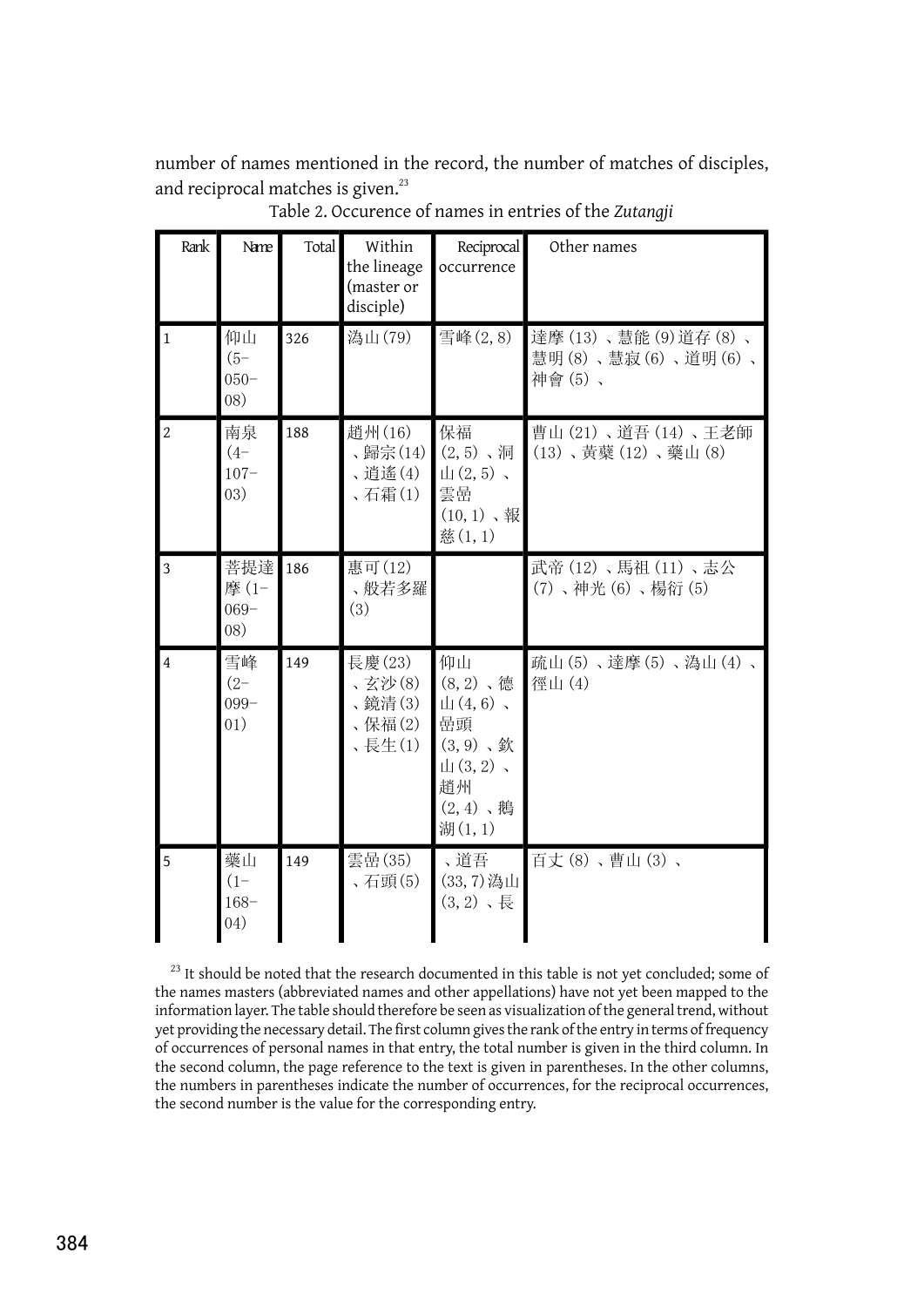number of names mentioned in the record, the number of matches of disciples, and reciprocal matches is given.<sup>23</sup>

| Rank           | Name                              | Total | Within<br>the lineage<br>(master or<br>disciple) | Reciprocal<br>occurrence                                                                                                                       | Other names                                        |
|----------------|-----------------------------------|-------|--------------------------------------------------|------------------------------------------------------------------------------------------------------------------------------------------------|----------------------------------------------------|
| $\mathbf{1}$   | 仰山<br>$(5 -$<br>$050 -$<br>08)    | 326   | 溈山(79)                                           | 雪峰(2,8)                                                                                                                                        | 達摩(13)、慧能(9)道存(8)、<br>慧明(8)、慧寂(6)、道明(6)、<br>神會(5)、 |
| $\overline{2}$ | 南泉<br>$(4 - )$<br>$107 -$<br>(03) | 188   | 趙州(16)<br>、歸宗(14)<br>、逍遙(4)<br>、石霜(1)            | 保福<br>$(2, 5)$ 、洞<br>$\mathop{\rm H}\nolimits(2,5)$ ,<br>雲嵒<br>$(10, 1)$ ,報<br>慈(1,1)                                                          | 曹山 (21)、道吾 (14)、王老師<br>(13)、黃蘗(12)、藥山(8)           |
| $\overline{3}$ | 菩提達<br>摩(1-<br>$069 -$<br>08)     | 186   | 惠可(12)<br>、般若多羅<br>(3)                           |                                                                                                                                                | 武帝(12)、馬祖(11)、志公<br>(7)、神光(6)、楊衍(5)                |
| $\overline{4}$ | 雪峰<br>$(2 - )$<br>$099 -$<br>01)  | 149   | 長慶(23)<br>、玄沙(8)<br>、鏡清(3)<br>、保福(2)<br>、長生(1)   | 仰山<br>$(8, 2)$ 、德<br>$\mathop{\rm H}\nolimits(4,6)$ ,<br>嵒頭<br>$(3, 9)$ , 欽<br>$\mathop{\rm H}\nolimits(3,2)$ ,<br>趙州<br>$(2, 4)$ 、鵝<br>湖(1,1) | 疏山(5)、達摩(5)、溈山(4)、<br>徑山(4)                        |
| 5              | 藥山<br>$(1 -$<br>$168 -$<br>(04)   | 149   | 雲嵒(35)<br>、石頭(5)                                 | 、道吾<br>(33,7) 溈山<br>$(3, 2)$ , 長                                                                                                               | 百丈(8)、曹山(3)、                                       |

Table 2. Occurence of names in entries of the *Zutangji*

<sup>23</sup> It should be noted that the research documented in this table is not yet concluded; some of the names masters (abbreviated names and other appellations) have not yet been mapped to the information layer. The table should therefore be seen as visualization of the general trend, without yet providing the necessary detail. The first column gives the rank of the entry in terms of frequency of occurrences of personal names in that entry, the total number is given in the third column. In the second column, the page reference to the text is given in parentheses. In the other columns, the numbers in parentheses indicate the number of occurrences, for the reciprocal occurrences, the second number is the value for the corresponding entry.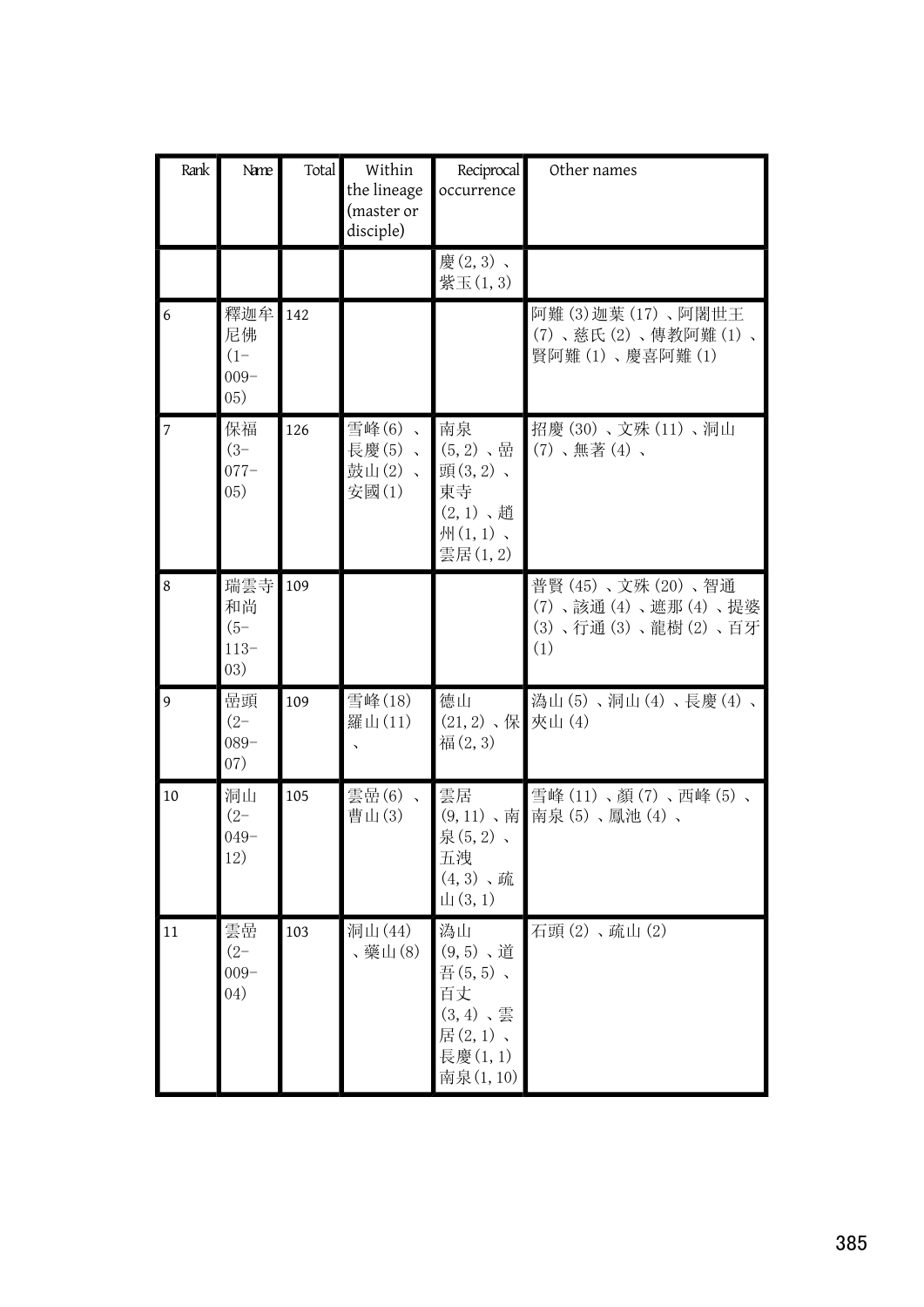| Rank           | Name                                   | Total | Within<br>the lineage<br>(master or<br>disciple) | Reciprocal<br>occurrence                                                           | Other names                                                         |
|----------------|----------------------------------------|-------|--------------------------------------------------|------------------------------------------------------------------------------------|---------------------------------------------------------------------|
|                |                                        |       |                                                  | 慶(2,3)、<br>紫玉(1,3)                                                                 |                                                                     |
| 6              | 釋迦牟<br>尼佛<br>$(1 -$<br>$009 -$<br>(05) | 142   |                                                  |                                                                                    | 阿難(3)迦葉(17)、阿闍世王<br>(7)、慈氏(2)、傳教阿難(1)、<br>賢阿難(1)、慶喜阿難(1)            |
| $\overline{7}$ | 保福<br>$(3 - )$<br>$077 -$<br>(05)      | 126   | 雪峰(6)、<br>長慶(5)、<br>鼓山(2)、<br>安國(1)              | 南泉<br>$(5,2)$ 、嵒<br>頭(3,2)、<br>東寺<br>$(2,1)$ 、趙<br>$M(1,1)$ 、<br>雲居(1,2)           | 招慶(30)、文殊(11)、洞山<br>$(7)$ 、無著 $(4)$ 、                               |
| 8              | 瑞雲寺<br>和尚<br>$(5 -$<br>$113-$<br>(03)  | 109   |                                                  |                                                                                    | 普賢(45)、文殊(20)、智通<br>(7)、該通(4)、遮那(4)、提婆<br>(3)、行通(3)、龍樹(2)、百牙<br>(1) |
| 9              | 嵒頭<br>$(2 -$<br>$089 -$<br>07)         | 109   | 雪峰(18)<br>羅山(11)                                 | 德山<br>$(21, 2)$ , 保<br>福(2,3)                                                      | 溈山(5)、洞山(4)、長慶(4)、<br>夾山(4)                                         |
| 10             | 洞山<br>$(2 -$<br>$049 -$<br>12)         | 105   | 雲嵒(6)、<br>曹山(3)                                  | 雲居<br>泉(5,2)、<br>五洩<br>$(4, 3)$ 、疏<br>$\mathop{\text{L}}\nolimits(3,1)$            | 雪峰(11)、顏(7)、西峰(5)、<br>(9,11)、南 南泉(5)、鳳池(4)、                         |
| 11             | 雲嵒<br>$(2 -$<br>$009 -$<br>(04)        | 103   | 洞山(44)<br>、藥山(8)                                 | 溈山<br>$(9, 5)$ 、道<br>吾(5,5)、<br>百丈<br>$(3,4)$ 、雲<br>居(2,1)、<br>長慶(1,1)<br>南泉(1,10) | 石頭(2)、疏山(2)                                                         |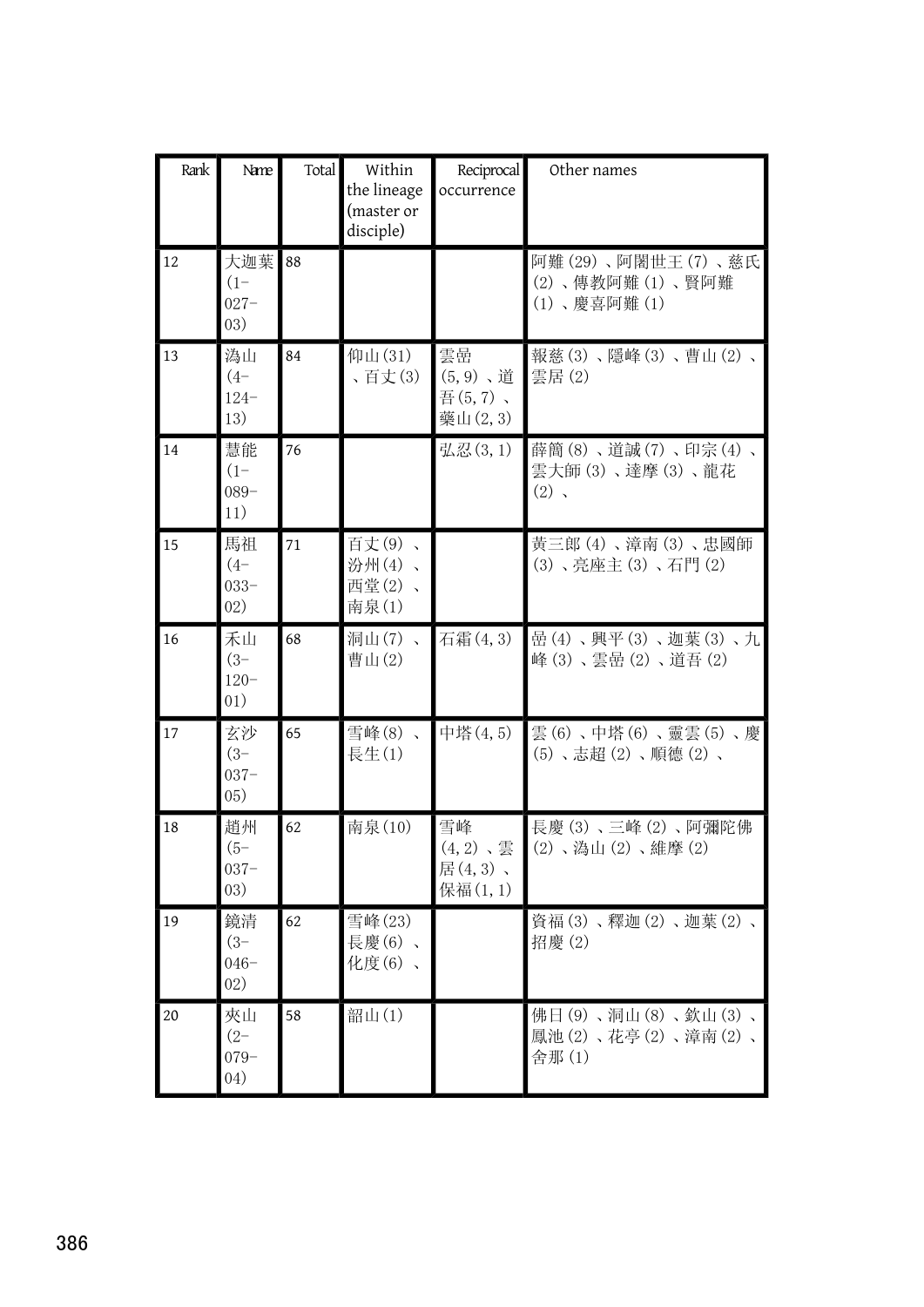| Rank | Name                              | Total | Within<br>the lineage<br>(master or<br>disciple) | Reciprocal<br>occurrence                | Other names                                         |
|------|-----------------------------------|-------|--------------------------------------------------|-----------------------------------------|-----------------------------------------------------|
| 12   | 大迦葉<br>$(1 -$<br>$027 -$<br>(03)  | 88    |                                                  |                                         | 阿難(29)、阿闍世王(7)、慈氏<br>(2)、傳教阿難(1)、賢阿難<br>(1)、慶喜阿難(1) |
| 13   | 溈山<br>$(4 - )$<br>$124 -$<br>13)  | 84    | 仰山(31)<br>、百丈(3)                                 | 雲嵒<br>$(5, 9)$ 、道<br>吾(5,7)、<br>藥山(2,3) | 報慈(3)、隱峰(3)、曹山(2)、<br>雲居(2)                         |
| 14   | 慧能<br>$(1 -$<br>$089 -$<br>11)    | 76    |                                                  | 弘忍(3,1)                                 | 薛簡(8)、道誠(7)、印宗(4)、<br>雲大師(3)、達摩(3)、龍花<br>$(2)$ ,    |
| 15   | 馬祖<br>$(4 -$<br>$033 -$<br>02)    | 71    | 百丈(9)、<br>汾州(4)、<br>西堂(2)、<br>南泉(1)              |                                         | 黃三郎(4)、漳南(3)、忠國師<br>(3)、亮座主(3)、石門(2)                |
| 16   | 禾山<br>$(3 - )$<br>$120 -$<br>01)  | 68    | 洞山(7)、<br>曹山(2)                                  | 石霜(4,3)                                 | 嵒(4)、興平(3)、迦葉(3)、九<br>峰(3)、雲嵒(2)、道吾(2)              |
| 17   | 玄沙<br>$(3 - )$<br>$037 -$<br>(05) | 65    | 雪峰(8)、<br>長生(1)                                  | 中塔(4,5)                                 | 雲(6)、中塔(6)、靈雲(5)、慶<br>(5)、志超(2)、順德(2)、              |
| 18   | 趙州<br>$(5 -$<br>$037 -$<br>(03)   | 62    | 南泉(10)                                           | 雪峰<br>$(4,2)$ 、雲<br>居(4,3)、<br>保福(1,1)  | 長慶(3)、三峰(2)、阿彌陀佛<br>(2)、溈山(2)、維摩(2)                 |
| 19   | 鏡清<br>$(3 - )$<br>$046 -$<br>02)  | 62    | 雪峰(23)<br>長慶(6)、<br>化度(6)、                       |                                         | 資福(3)、釋迦(2)、迦葉(2)、<br>招慶(2)                         |
| 20   | 夾山<br>$(2 - )$<br>$079 -$<br>04)  | 58    | 韶山(1)                                            |                                         | 佛日(9)、洞山(8)、欽山(3)、<br>鳳池(2)、花亭(2)、漳南(2)、<br>舍那(1)   |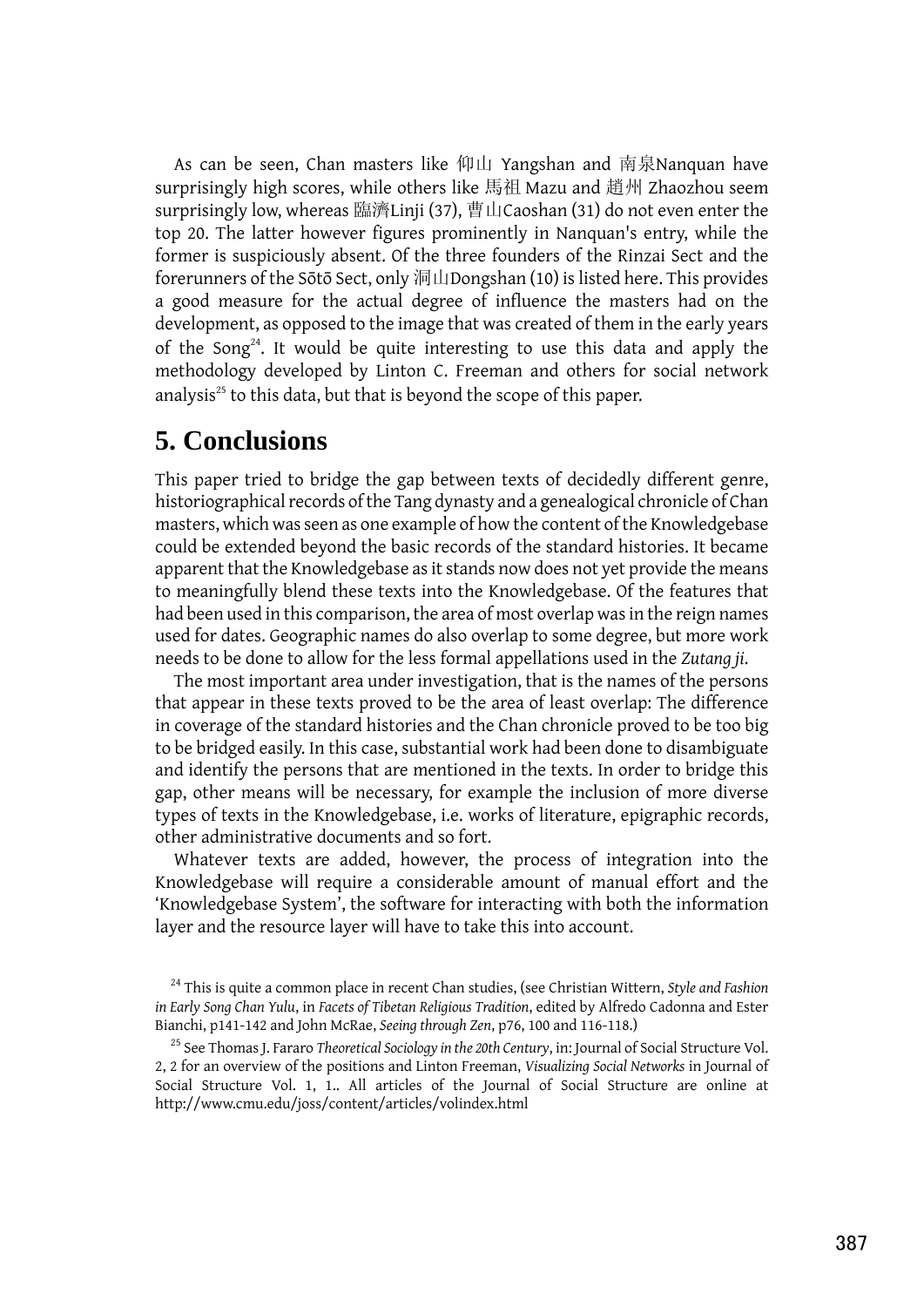As can be seen, Chan masters like 仰山 Yangshan and 南泉Nanquan have surprisingly high scores, while others like 馬祖 Mazu and 趙州 Zhaozhou seem surprisingly low, whereas 臨濟Linji (37), 曹山Caoshan (31) do not even enter the top 20. The latter however figures prominently in Nanquan's entry, while the former is suspiciously absent. Of the three founders of the Rinzai Sect and the forerunners of the Sōtō Sect, only 洞山Dongshan (10) is listed here. This provides a good measure for the actual degree of influence the masters had on the development, as opposed to the image that was created of them in the early years of the Song<sup>24</sup>. It would be quite interesting to use this data and apply the methodology developed by Linton C. Freeman and others for social network analysis<sup>25</sup> to this data, but that is beyond the scope of this paper.

### **5. Conclusions**

This paper tried to bridge the gap between texts of decidedly different genre, historiographical records of the Tang dynasty and a genealogical chronicle of Chan masters, which was seen as one example of how the content of the Knowledgebase could be extended beyond the basic records of the standard histories. It became apparent that the Knowledgebase as it stands now does not yet provide the means to meaningfully blend these texts into the Knowledgebase. Of the features that had been used in this comparison, the area of most overlap was in the reign names used for dates. Geographic names do also overlap to some degree, but more work needs to be done to allow for the less formal appellations used in the *Zutang ji*.

The most important area under investigation, that is the names of the persons that appear in these texts proved to be the area of least overlap: The difference in coverage of the standard histories and the Chan chronicle proved to be too big to be bridged easily. In this case, substantial work had been done to disambiguate and identify the persons that are mentioned in the texts. In order to bridge this gap, other means will be necessary, for example the inclusion of more diverse types of texts in the Knowledgebase, i.e. works of literature, epigraphic records, other administrative documents and so fort.

Whatever texts are added, however, the process of integration into the Knowledgebase will require a considerable amount of manual effort and the 'Knowledgebase System', the software for interacting with both the information layer and the resource layer will have to take this into account.

<sup>24</sup> This is quite a common place in recent Chan studies, (see Christian Wittern, *Style and Fashion in Early Song Chan Yulu*, in *Facets of Tibetan Religious Tradition*, edited by Alfredo Cadonna and Ester Bianchi, p141-142 and John McRae, *Seeing through Zen*, p76, 100 and 116-118.)

<sup>25</sup> See Thomas J. Fararo *Theoretical Sociology in the 20th Century*, in: Journal of Social Structure Vol. 2, 2 for an overview of the positions and Linton Freeman, *Visualizing Social Networks* in Journal of Social Structure Vol. 1, 1.. All articles of the Journal of Social Structure are online at http://www.cmu.edu/joss/content/articles/volindex.html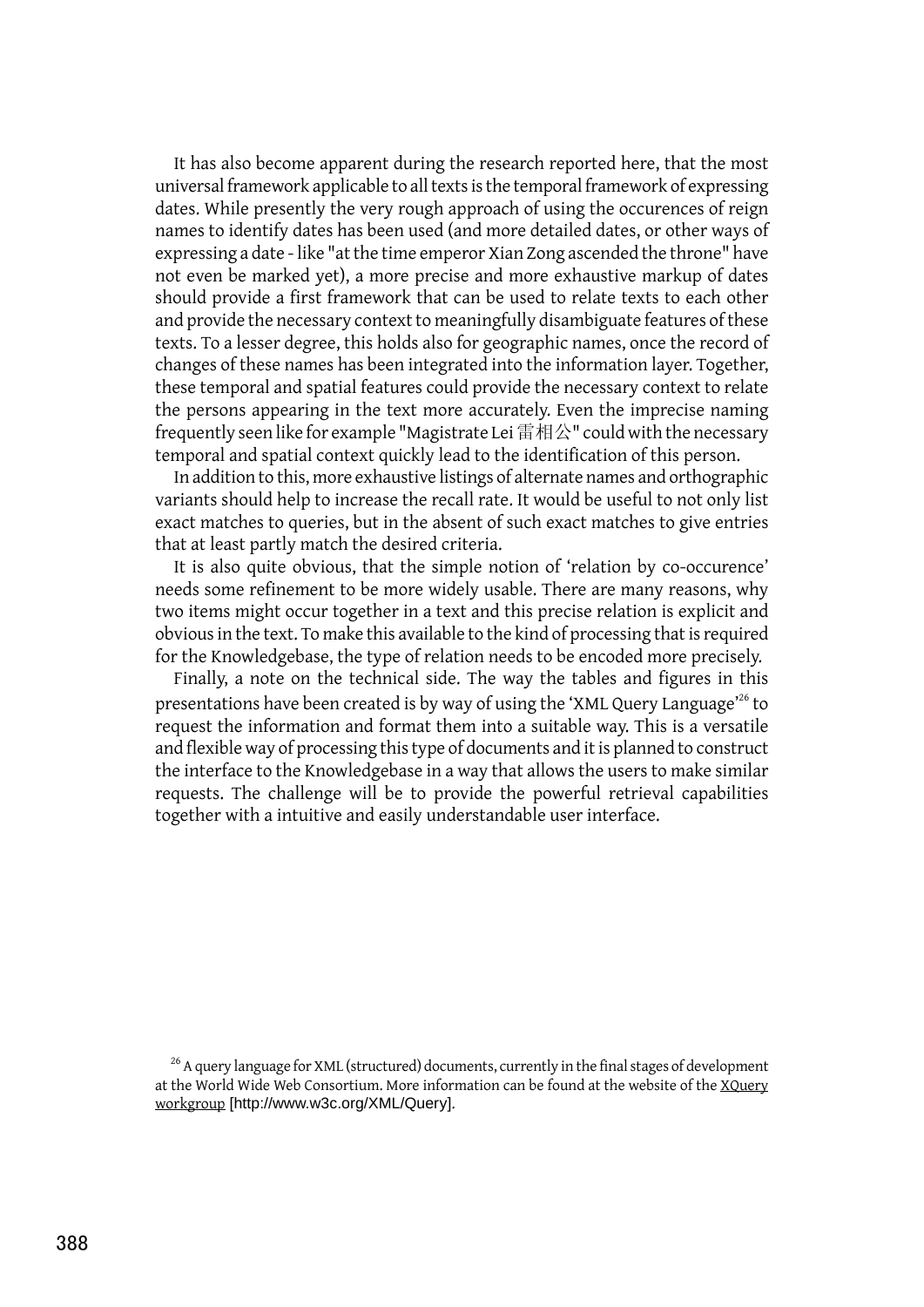It has also become apparent during the research reported here, that the most universal framework applicable to all texts is the temporal framework of expressing dates. While presently the very rough approach of using the occurences of reign names to identify dates has been used (and more detailed dates, or other ways of expressing a date - like "at the time emperor Xian Zong ascended the throne" have not even be marked yet), a more precise and more exhaustive markup of dates should provide a first framework that can be used to relate texts to each other and provide the necessary context to meaningfully disambiguate features of these texts. To a lesser degree, this holds also for geographic names, once the record of changes of these names has been integrated into the information layer. Together, these temporal and spatial features could provide the necessary context to relate the persons appearing in the text more accurately. Even the imprecise naming frequently seen like for example "Magistrate Lei 雷相公" could with the necessary temporal and spatial context quickly lead to the identification of this person.

In addition to this, more exhaustive listings of alternate names and orthographic variants should help to increase the recall rate. It would be useful to not only list exact matches to queries, but in the absent of such exact matches to give entries that at least partly match the desired criteria.

It is also quite obvious, that the simple notion of 'relation by co-occurence' needs some refinement to be more widely usable. There are many reasons, why two items might occur together in a text and this precise relation is explicit and obvious in the text. To make this available to the kind of processing that is required for the Knowledgebase, the type of relation needs to be encoded more precisely.

Finally, a note on the technical side. The way the tables and figures in this presentations have been created is by way of using the 'XML Query Language'<sup>26</sup> to request the information and format them into a suitable way. This is a versatile and flexible way of processing this type of documents and it is planned to construct the interface to the Knowledgebase in a way that allows the users to make similar requests. The challenge will be to provide the powerful retrieval capabilities together with a intuitive and easily understandable user interface.

 $26$  A query language for XML (structured) documents, currently in the final stages of development at the World Wide Web Consortium. More information can be found at the website of the [XQuery](http://www.w3c.org/XML/Query) [workgroup](http://www.w3c.org/XML/Query) [http://www.w3c.org/XML/Query].